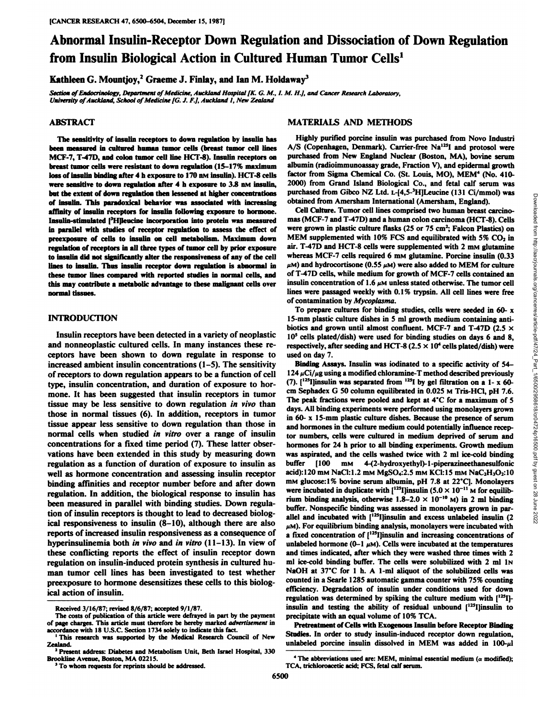# **Abnormal Insulin-Receptor Down Regulation and Dissociation of Down Regulation from Insulin Biological Action in Cultured Human Tumor Cells1**

**Kathleen G. Mountjoy,2 Graeme J.Finlay, and Ian M. Holdaway3**

Section of Endocrinology, Department of Medicine, Auckland Hospital [K. G. M., I. M. H.], and Cancer Research Laboratory, *University of Auckland, School of Medicine [G. J. F.J,Auckland 1, New Zealand*

#### **ABSTRACT**

**The sensitivity of insulin receptors to down regulation by insulin has been measured in cultured human tumor cells (breast tumor cell lines MO-7, T-47D, and colon tumor cell line HCT-8). Insulin receptors on breast tumor cells were resistant to down regulation (15-17% maximum loss of insulin bindingafter 4 h exposure to 170 UMinsulin). HCT-8 cells were sensitive to down regulation after 4 h exposure to 3.8 n\i insulin, but the extent of down regulation then lessened at higher concentrations of insulin. This paradoxical behavior was associated with increasing affinity of insulin receptors for insulin following exposure to hormone. Insulin-stimulated |3H]leucine incorporation into protein was measured in parallel with studies of receptor regulation to assess the effect of preexposure of cells to insulin on cell metabolism. Maximum down regulation of receptors in all three types of tumor cell by prior exposure to insulin did not significantly alter the responsiveness of any of the cell lines to insulin. Thus insulin receptor down regulation is abnormal in these rumor lines compared with reported studies in normal cells, and this may contribute a metabolic advantage to these malignant cells over normal tissues.**

### **INTRODUCTION**

Insulin receptors have been detected in a variety of neoplastic and nonneoplastic cultured cells. In many instances these re ceptors have been shown to down regulate in response to increased ambient insulin concentrations (1-5). The sensitivity of receptors to down regulation appears to be a function of cell type, insulin concentration, and duration of exposure to hor mone. It has been suggested that insulin receptors in tumor tissue may be less sensitive to down regulation in vivo than those in normal tissues (6). In addition, receptors in tumor tissue appear less sensitive to down regulation than those in normal cells when studied in vitro over a range of insulin concentrations for a fixed time period (7). These latter obser vations have been extended in this study by measuring down regulation as a function of duration of exposure to insulin as well as hormone concentration and assessing insulin receptor binding affinities and receptor number before and after down regulation. In addition, the biological response to insulin has been measured in parallel with binding studies. Down regula ical responsiveness to insulin (8-10), although there are also reports of increased insulin responsiveness as a consequence of hyperinsulinemia both in vivo and in vitro (11-13). In view of these conflicting reports the effect of insulin receptor down regulation on insulin-induced protein synthesis in cultured hu man tumor cell lines has been investigated to test whether preexposure to hormone desensitizes these cells to this biolog ical action of insulin.

#### **MATERIALS AND METHODS**

**Highly purified porcine insulin was purchased from Novo Industri A/S (Copenhagen, Denmark). Carrier-free Na'"I and protosol were purchased from New England Nuclear (Boston, MA), bovine serum albumin (radioimmunoassay grade, Fraction V), and epidermal growth factor from Sigma Chemical Co. (St. Louis, MO), MEM4 (No. 410 obtained from Amersham International (Amersham, England).**

Cell Culture. Tumor cell lines comprised two human breast carcino mas (MCF-7 and T-47D) and a human colon carcinoma (HCT-8). Cells were grown in plastic culture flasks (25 or 75 cm<sup>2</sup>; Falcon Plastics) on MEM supplemented with 10% FCS and equilibrated with 5%  $CO<sub>2</sub>$  in air. T-47D and HCT-8 cells were supplemented with 2 mm glutamine whereas MCF-7 cells required 6 mm glutamine. Porcine insulin  $(0.33)$  $\mu$ M) and hydrocortisone (0.55  $\mu$ M) were also added to MEM for culture of T-47D cells, while medium for growth of MCF-7 cells contained an insulin concentration of 1.6  $\mu$ M unless stated otherwise. The tumor cell lines were passaged weekly with 0.1% trypsin. All cell lines were free of contamination by Mycoplasma.

**To prepare cultures for binding studies, cells were seeded in 60-x 15-mm plastic culture dishes in 5 ml growth medium containing anti biotics and grown until almost confluent. MCF-7 and T-47D (2.5 x 10s cells plated/dish) were used for binding studies on days 6 and 8, respectively, after seeding and HCT-8**  $(2.5 \times 10^4 \text{ cells plated/dish})$  were **used on day 7.**

tion of insulin receptors is thought to lead to decreased biolog-<br>i.e.  $\frac{1}{2}$  allel and incubated with  $\frac{1}{2}$ [13] insulin and excess unlabeled insulin (2) 2000) from Grand Island Biological Co., and fetal call estimate<br>purchased from Gibco NZ Ltd. 1-[4,5-24]Leucine (131 Ci/mmol) was<br>busined from Amersham International (Amersham, England).<br>Cell Calture. Tumor cell lines comp **Binding Assays. Insulin was iodinated to a specific activity of54-**  $124 \mu\text{Ci}/\mu\text{g}$  using a modified chloramine-T method described previously  $(7)$ .  $[$ <sup>125</sup>I]insulin was separated from <sup>125</sup>I by gel filtration on a 1- x 60**cm Sephadex G 50 column equilibrated in 0.025 MTris-HCl, pH 7.6. The peak fractions were pooled and kept at 4'C for a maximum of 5 days. All binding experiments were performed using monolayers grown in 60-x 15-mm plastic culture dishes. Because the presence of serum and hormones in the culture medium could potentially influence recep tor numbers, cells were cultured in medium deprived of serum and hormones for 24 h prior to all binding experiments. Growth medium was aspirated, and the cells washed twice with 2 ml ice-cold binding buffer [100 mM 4-(2-hydroxyethyl)-l-piperazineethanesulfonic acid):120 mMNaCl:1.2 mMMgSO4:2.5 mMKC1:15mMNaC2H3O2:10 mM glucose: 1%bovine serum albumin, pH 7.8 at22\*C). Monolayers were incubated in duplicate with**  $[1^{25}]$ **insulin**  $(5.0 \times 10^{-11})$  M for equilibrium binding analysis, otherwise  $1.8-2.0 \times 10^{-10}$  M) in 2 ml binding buffer. Nonspecific binding was assessed in monolayers grown in parallel and incubated with  $[1^{25}]$  insulin and excess unlabeled insulin  $(2 \quad \overset{\odot}{\underset{10}{\otimes}}$ **¿IM). For equilibrium binding analysis, monolayers were incubated with a fixed concentration of [125I]insulinand increasing concentrations of unlabeled** hormone  $(0-1 \mu M)$ . Cells were incubated at the temperatures **and times indicated, after which they were washed three times with 2**  $m$ **l** ice-cold binding buffer. The cells were solubilized with 2 ml 1N NaOH at 37°C for 1 h. A 1-ml aliquot of the solubilized cells was **counted in a Searle 1285 automatic gamma counter with 75%counting efficiency. Degradation of insulin under conditions used for down regulation was determined by spiking the culture medium with [125I] insulin and testing the ability of residual unbound ['"Ijinsulin to precipitate with an equal volume of 10%TCA.**

> **Pretreatment of Cells with Exogenous Insulin before Receptor Binding Studies. In order to study insulin-induced receptor down regulation,** unlabeled porcine insulin dissolved in MEM was added in  $100-\mu$ l

**Received 3/16/87; revised 8/6/87; accepted 9/1/87.**

**The costs of publication of this article were defrayed in part by the payment of page charges. This article must therefore be hereby marked advertisement in accordance with 18 U.S.C. Section 1734 solely to indicate this fact.**

**<sup>&#</sup>x27;This research was supported by the Medical Research Council of New Zealand. 1Present address: Diabetes and Metabolism Unit, Beth Israel Hospital, <sup>330</sup>**

**Brookline Avenue, Boston, MA 02215.**

**<sup>3</sup>To whom requests for reprints should be addressed.**

*<sup>&#</sup>x27; The abbreviations used are: MEM, minimal essential medium (a modified);* **TCA, trichloroacetic acid; FCS, fetal calf serum.**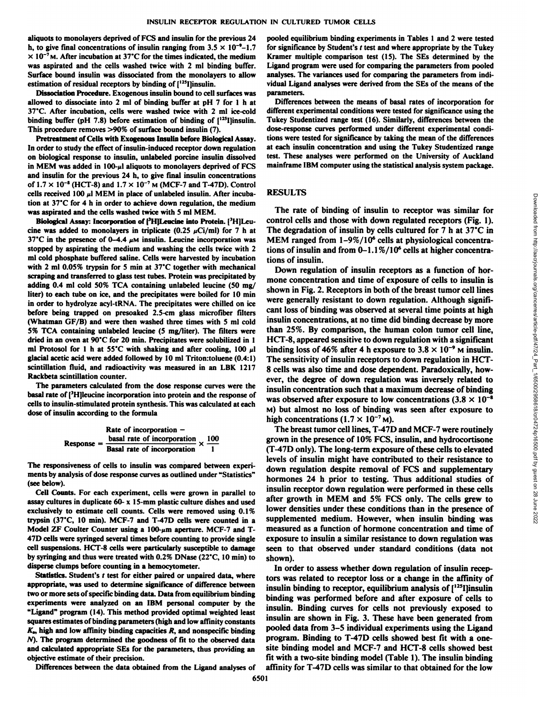aliquots to monolayers deprived of FCS and insulin for the previous 24 h, to give final concentrations of insulin ranging from  $3.5 \times 10^{-9}$ -1.7  $\times$  10<sup>-7</sup>M. After incubation at 37°C for the times indicated, the medium was aspirated and the cells washed twice with 2 ml binding buffer. Surface bound insulin was dissociated from the monolayers to allow estimation of residual receptors by binding of  $[1^{25}]$  linsulin.

Dissociation Procedure. Exogenous insulin bound to cell surfaces was allowed to dissociate into 2 ml of binding buffer at pH 7 for l h at 37'C. After incubation, cells were washed twice with 2 ml ice-cold binding buffer (pH 7.8) before estimation of binding of  $[1^{23}]$  linsulin. This procedure removes >90% of surface bound insulin (7).

Pretreatment of Cells with Exogenous Insulin before Biological Assay. In order to study the effect of insulin-induced receptor down regulation on biological response to insulin, unlabeled porcine insulin dissolved in MEM was added in  $100-\mu$ l aliquots to monolayers deprived of FCS and insulin for the previous 24 h, to give final insulin concentrations of  $1.7 \times 10^{-8}$  (HCT-8) and  $1.7 \times 10^{-7}$  M (MCF-7 and T-47D). Control cells received 100  $\mu$ l MEM in place of unlabeled insulin. After incubation at  $37^{\circ}$ C for 4 h in order to achieve down regulation, the medium was aspirated and the cells washed twice with 5 ml MEM.

Biological Assay: Incorporation of [<sup>3</sup>H]Leucine into Protein. [<sup>3</sup>H]Leucine was added to monolayers in triplicate (0.25  $\mu$ Ci/ml) for 7 h at The degradation of insulin by cells cultured for 7 h at 37°C in 37<sup> $\degree$ </sup>C in the presence of 0-4.4  $\mu$ M insulin. Leucine incorporation was stopped by aspirating the medium andwashing the cells twice with 2 ml cold phosphate buffered saline. Cells were harvested by incubation with 2 ml 0.05% trypsin for 5 min at 37"C together with mechanical scraping and transferred to glass test tubes. Protein was precipitated by adding 0.4 ml cold 50% TCA containing unlabeled leucine (50 mg/ liter) to each tube on ice, and the precipitates were boiled for 10 min in order to hydrolyze acyl-tRNA. The precipitates were chilled on ice before being trapped on presoaked 2.5-cm glass microfiber filters (Whatman GF/B) and were then washed three times with 5 ml cold 5% TCA containing unlabeled leucine (5 mg/liter). The filters were dried in an oven at 90\*C for <sup>20</sup> min. Precipitates were solubilized in <sup>1</sup> ml Protosol for 1 h at 55°C with shaking and after cooling, 100  $\mu$ l binding loss of 46% after 4 h exposure to 3.8 × 10<sup>-9</sup> m insulin. glacial acetic acid were added followed by  $10$  ml Triton:toluene  $(0.4:1)$ scintillation fluid, and radioactivity was measured in an LBK 1217 Rackbeta scintillation counter.

The parameters calculated from the dose response curves were the basal rate of  $^{3}$ H]leucine incorporation into protein and the response of<br>response of the protein and the response of the was observed after exposure to low concentrations  $(3.8 \times 10^{-8}$ cells to insulin-stimulated protein synthesis. This was calculated at each dose of insulin according to the formula

Rate of incorporation –  
Response = 
$$
\frac{\text{basal rate of incorporation}}{\text{Basal rate of incorporation}} \times \frac{100}{1}
$$

The responsiveness of cells to insulin was compared between experi ments by analysis of dose response curves as outlined under "Statistics" (see below).

Cell Counts. For each experiment, cells were grown in parallel to assay cultures in duplicate 60- x 15-mm plastic culture dishes and used exclusively to estimate cell counts. Cells were removed using 0.1% trypsin  $(37^{\circ}C, 10 \text{ min})$ . MCF-7 and T-47D cells were counted in a Model ZF Coulter Counter using a  $100-\mu m$  aperture. MCF-7 and T-47D cells were syringed several times before counting to provide single cell suspensions. HCT-8 cells were particularly susceptible to damage by syringing and thus were treated with 0.2% DNase (22"C, 10 min) to

disperse clumps before counting in a hemocytometer.<br>Statistics. Student's t test for either paired or unpaired data, where appropriate, was used to determine significance of difference between two or more sets of specific binding data. Data from equilibrium binding experiments were analyzed on an IBM personal computer by the "Ligand" program (14). This method provided optimal weighted least squares estimates of binding parameters (high and low affinity constants  $K<sub>2</sub>$ , high and low affinity binding capacities  $R$ , and nonspecific binding \ ). The program determined the goodness of fit to the observed data and calculated appropriate SEs for the parameters, thus providing an objective estimate of their precision.

Differences between the data obtained from the Ligand analyses of

6501

pooled equilibrium binding experiments in Tables 1 and 2 were tested for significance by Student's  $t$  test and where appropriate by the Tukey Kramer multiple comparison test (15). The SEs determined by the Ligand program were used for comparing the parameters from pooled analyses. The variances used for comparing the parameters from indi vidual Ligand analyses were derived from the SEs of the means of the parameters.

Differences between the means of basal rates of incorporation for different experimental conditions were tested for significance using the Tukey Studentized range test (16). Similarly, differences between the dose-response curves performed under different experimental condi tions were tested for significance by taking the mean of the differences at each insulin concentration and using the Tukey Studentized range test. These analyses were performed on the University of Auckland mainframe IBM computer using the statistical analysis system package.

#### RESULTS

The rate of binding of insulin to receptor was similar for control cells and those with down regulated receptors (Fig. 1). MEM ranged from 1-9%/10<sup>6</sup> cells at physiological concentrations of insulin and from  $0-1.1\%/10^6$  cells at higher concentrations of insulin.

Down regulation of insulin receptors as a function of hor mone concentration and time of exposure of cells to insulin is shown in Fig. 2. Receptors in both of the breast tumor cell lines were generally resistant to down regulation. Although signifi cant loss of binding was observed at several time points at high insulin concentrations, at no time did binding decrease by more than 25%. By comparison, the human colon tumor cell line, HCT-8, appeared sensitive to down regulation with a significant The sensitivity of insulin receptors to down regulation in HCT-**EXENDENT TO CONSULT TO CONSULT TO CONSULT TO CONSULT THE degradation of insulin by cells cultured for 7 h at 37°C in The degradation of insulin by cells cultured for 7 h at 37°C in MEM ranged from**  $1-9\%/10^6$  **cells at h** ever, the degree of down regulation was inversely related to insulin concentration such that a maximum decrease of binding M) but almost no loss of binding was seen after exposure to high concentrations  $(1.7 \times 10^{-7} \text{M})$ .

The breast tumor cell lines, T-47D and MCF-7 were routinely grown in the presence of 10% FCS, insulin, and hydrocortisone (T-47D only). The long-term exposure of these cells to elevated levels of insulin might have contributed to their resistance to down regulation despite removal of FCS and supplementary hormones 24 h prior to testing. Thus additional studies of insulin receptor down regulation were performed in these cells after growth in MEM and 5% FCS only. The cells grew to lower densities under these conditions than in the presence of supplemented medium. However, when insulin binding was measured as a function of hormone concentration and time of exposure to insulin a similar resistance to down regulation was seen to that observed under standard conditions (data not shown).

In order to assess whether down regulation of insulin recep tors was related to receptor loss or a change in the affinity of insulin binding to receptor, equilibrium analysis of [125I]insulin binding was performed before and after exposure of cells to insulin. Binding curves for cells not previously exposed to insulin are shown in Fig. 3. These have been generated from pooled data from 3-5 individual experiments using the Ligand program. Binding to T-47D cells showed best fit with a onesite binding model and MCF-7 and HCT-8 cells showed best fit with a two-site binding model (Table 1). The insulin binding affinity for T-47D cells was similar to that obtained for the low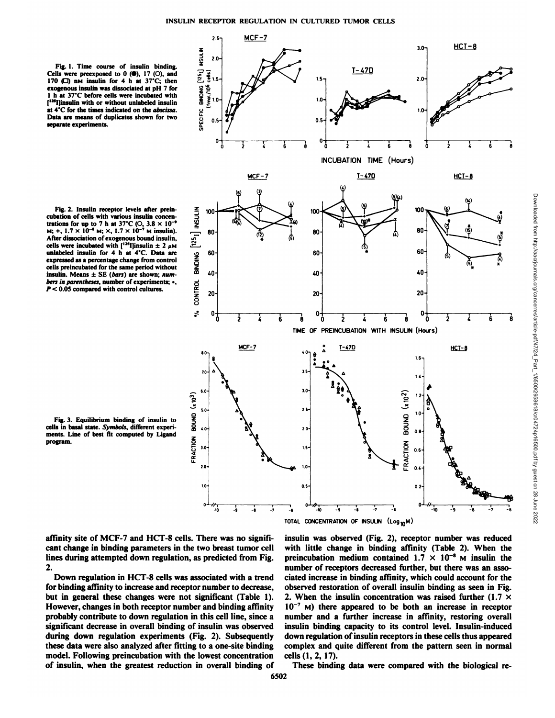MCF-7

 $2.5 -$ 

**Fig. 1. Time course of insulin binding. Cells** were preexposed to 0 ( $\Theta$ ), 17 (O), and<br>170 ( $\square$ ) nM insulin for 4 h at 37°C; then<br>exogenous insulin was dissociated at pH 7 for<br>1 h at 37°C before cells were incubated with<br>[<sup>133</sup>]]insulin with or without unlab **exogenous insulin was dissociated at pH <sup>7</sup> for <sup>l</sup> <sup>h</sup> at 37\*C before cells were incubated with ['"Ijinsulin with or without unlabeled insulin at 4'C for the times indicated on the abscissa. Data are means of duplicates shown for two separate experiments.**

**Fig. 2. Insulin receptor levels after preincubation** of cells with various insulin concentrations for up to 7 h at  $37^{\circ}$ C (O,  $3.8 \times 10^{-4}$ )  $M$ ; +,  $1.7 \times 10^{-4}$  M;  $\times$ ,  $1.7 \times 10^{-7}$  M insulin). **After dissociation of exogenous bound insulin,** cells were **incubated** with  $[^{125}]$ **insulin**  $\pm 2 \mu M$ **unlabeled insulin for 4 h at 4'C. Data are expressed as a percentage change from control cells preincubated for the same period without insulin. Means**  $\pm$  SE (*bars*) are shown; num-<br>*bers in parentheses*, number of experiments; •,<br> $P < 0.05$  compared with control cultures.<br> $\begin{bmatrix} 20 \\ 20 \end{bmatrix}$ *bers in parentheses, number of experiments; •. P < 0.05 compared with control cultures.*





**3-0-1**

 $HCT-8$ 

TOTAL CONCENTRATION OF INSULIN (Log<sub>10</sub>M)

affinity site of MCF-7 and HCT-8 cells. There was no significant change in binding parameters in the two breast tumor cell lines during attempted down regulation, as predicted from Fig. 2.

Down regulation in HCT-8 cells was associated with a trend for binding affinity to increase and receptor number to decrease, but in general these changes were not significant (Table 1). However, changes in both receptor number and binding affinity probably contribute to down regulation in this cell line, since a significant decrease in overall binding of insulin was observed during down regulation experiments (Fig. 2). Subsequently these data were also analyzed after fitting to a one-site binding model. Following preincubation with the lowest concentration of insulin, when the greatest reduction in overall binding of

insulin was observed (Fig. 2), receptor number was reduced with little change in binding affinity (Table 2). When the preincubation medium contained  $1.7 \times 10^{-8}$  M insulin the number of receptors decreased further, but there was an asso ciated increase in binding affinity, which could account for the observed restoration of overall insulin binding as seen in Fig. 2. When the insulin concentration was raised further (1.7  $\times$  $10^{-7}$  M) there appeared to be both an increase in receptor number and a further increase in affinity, restoring overall insulin binding capacity to its control level. Insulin-induced down regulation of insulin receptors in these cells thus appeared complex and quite different from the pattern seen in normal cells (1,2, 17).

These binding data were compared with the biological re-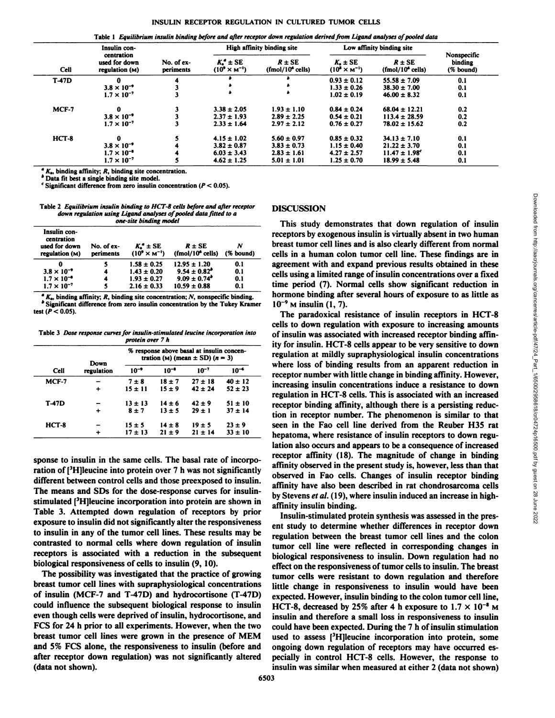Table 1 Equilibrium insulin binding before and after receptor down regulation derived from Ligand analyses of pooled data

| Cell         | Insulin con-<br>centration<br>used for down<br>regulation (M) | No. of ex-<br>periments | High affinity binding site           |                                            | Low affinity binding site                        |                                            |                                     |
|--------------|---------------------------------------------------------------|-------------------------|--------------------------------------|--------------------------------------------|--------------------------------------------------|--------------------------------------------|-------------------------------------|
|              |                                                               |                         | $K^*$ ± SE<br>$(10^9 \times M^{-1})$ | $R \pm SE$<br>(fmol/10 <sup>6</sup> cells) | $K_{\bullet}$ $\pm$ SE<br>$(10^8 \times M^{-1})$ | $R \pm SE$<br>(fmol/10 <sup>6</sup> cells) | Nonspecific<br>binding<br>(% bound) |
| <b>T-47D</b> | 0                                                             |                         |                                      |                                            | $0.93 \pm 0.12$                                  | $55.58 \pm 7.09$                           | 0.1                                 |
|              | $3.8 \times 10^{-9}$                                          |                         |                                      |                                            | $1.33 \pm 0.26$                                  | $38.30 \pm 7.00$                           | 0.1                                 |
|              | $1.7 \times 10^{-7}$                                          |                         | ٠                                    |                                            | $1.02 \pm 0.19$                                  | $46.00 \pm 8.32$                           | 0.1                                 |
| $MCF-7$      | $\bf{0}$                                                      |                         | $3.38 \pm 2.05$                      | $1.93 \pm 1.10$                            | $0.84 \pm 0.24$                                  | $68.04 \pm 12.21$                          | 0.2                                 |
|              | $3.8 \times 10^{-9}$                                          |                         | $2.37 \pm 1.93$                      | $2.89 \pm 2.25$                            | $0.54 \pm 0.21$                                  | $113.4 \pm 28.59$                          | 0.2                                 |
|              | $1.7 \times 10^{-7}$                                          |                         | $2.33 \pm 1.64$                      | $2.97 \pm 2.12$                            | $0.76 \pm 0.27$                                  | $78.02 \pm 15.62$                          | 0.2                                 |
| $HCT-8$      | $\Omega$                                                      |                         | $4.15 \pm 1.02$                      | $5.60 \pm 0.97$                            | $0.85 \pm 0.32$                                  | $34.13 \pm 7.10$                           | 0.1                                 |
|              | $3.8 \times 10^{-9}$                                          |                         | $3.82 \pm 0.87$                      | $3.83 \pm 0.73$                            | $1.15 \pm 0.40$                                  | $21.22 \pm 3.70$                           | 0.1                                 |
|              | $1.7 \times 10^{-4}$                                          |                         | $6.03 \pm 3.43$                      | $2.83 \pm 1.61$                            | $4.27 \pm 2.57$                                  | $11.47 \pm 1.98$ <sup>c</sup>              | 0.1                                 |
|              | $1.7 \times 10^{-7}$                                          |                         | $4.62 \pm 1.25$                      | $5.01 \pm 1.01$                            | $1.25 \pm 0.70$                                  | $18.99 \pm 5.48$                           | 0.1                                 |

 $K_{\bullet}$ , binding affinity; R, binding site concentration.

*h Data Tit best a single binding site model.*

<sup>c</sup> Significant difference from zero insulin concentration ( $P < 0.05$ ).

2 Equilibrium insulin binding to HCT-8 cells before and after receptor *down regulation using Ligand analyses of pooled data fitted to a one-site binding model* 

| Insulin con-<br>centration<br>used for down<br>regulation (M) | No. of ex-<br>periments | $K^*$ ± SE<br>$(10^9 \times M^{-1})$ | $R \pm SE$<br>(fmol/10 <sup>6</sup> cells) | N<br>(% bound) |
|---------------------------------------------------------------|-------------------------|--------------------------------------|--------------------------------------------|----------------|
|                                                               |                         | $1.58 \pm 0.25$                      | $12.95 \pm 1.20$                           | 0.1            |
| $3.8 \times 10^{-9}$                                          | 4                       | $1.43 \pm 0.20$                      | $9.54 \pm 0.82^{\circ}$                    | 0.1            |
| $1.7 \times 10^{-4}$                                          | 4                       | $1.93 \pm 0.27$                      | $9.09 \pm 0.74^{\circ}$                    | 0.1            |
| $1.7 \times 10^{-7}$                                          |                         | $2.16 \pm 0.33$                      | $10.59 \pm 0.88$                           | 0.1            |

 $K<sub>n</sub>$ , binding affinity; R, binding site concentration; N, nonspecific binding. \* Significant difference from zero insulin concentration by the Tukey Kramer  $10^{-9}$  M insulin (1, 7). test ( $P < 0.05$ ).

Table 3 Dose response curves for insulin-stimulated leucine incorporation into *protein over* 7 *h* 

|              | Down       | % response above basal at insulin concen-<br>tration (M) (mean $\pm$ SD) (n = 3) |            |             |             |  |
|--------------|------------|----------------------------------------------------------------------------------|------------|-------------|-------------|--|
| <b>Cell</b>  | regulation | $10^{-9}$                                                                        | $10^{-1}$  | $10^{-7}$   | $10^{-4}$   |  |
| MCF-7        |            | $7 \pm 8$                                                                        | $18 + 7$   | $27 \pm 18$ | $40 \pm 12$ |  |
|              |            | $15 \pm 11$                                                                      | $15 \pm 9$ | $42 \pm 24$ | $52 \pm 23$ |  |
| <b>T-47D</b> |            | $13 \pm 13$                                                                      | $14 \pm 6$ | $42 \pm 9$  | $51 \pm 10$ |  |
|              |            | $8 \pm 7$                                                                        | $13 \pm 5$ | $29 \pm 1$  | $37 + 14$   |  |
| $HCT-8$      |            | $15 \pm 5$                                                                       | $14 \pm 8$ | $19 \pm 5$  | $23 \pm 9$  |  |
|              |            | $17 + 13$                                                                        | $21 \pm 9$ | $21 \pm 14$ | $33 \pm 10$ |  |

sponse to insulin in the same cells. The basal rate of incorporation of  $[3H]$ leucine into protein over 7 h was not significantly different between control cells and those preexposed to insulin. The means and SDs for the dose-response curves for insulinstimulated [<sup>3</sup>H]leucine incorporation into protein are shown in Table 3. Attempted down regulation of receptors by prior exposure to insulin did not significantly alter the responsiveness to insulin in any of the tumor cell lines. These results may be contrasted to normal cells where down regulation of insulin receptors is associated with a reduction in the subsequent biological responsiveness of cells to insulin (9, 10).

The possibility was investigated that the practice of growing breast tumor cell lines with supraphysiological concentrations of insulin (MCF-7 and T-47D) and hydrocortisone (T-47D) could influence the subsequent biological response to insulin HCT-8, decreased by 25% after 4 h exposure to  $1.7 \times 10^{-8}$  M even though cells were deprived of insulin, hydrocortisone, and FCS for 24 h prior to all experiments. However, when the two breast tumor cell lines were grown in the presence of MEM and 5% PCS alone, the responsiveness to insulin (before and after receptor down regulation) was not significantly altered (data not shown).

## **DISCUSSION**

This study demonstrates that down regulation of insulin receptors by exogenous insulin is virtually absent in two human breast tumor cell lines and is also clearly different from normal cells in a human colon tumor cell line. These findings are in agreement with and expand previous results obtained in these cells using a limited range of insulin concentrations over a fixed time period (7). Normal cells show significant reduction in hormone binding after several hours of exposure to as little as

The paradoxical resistance of insulin receptors in HCT-8 cells to down regulation with exposure to increasing amounts of insulin was associated with increased receptor binding affin ity for insulin. HCT-8 cells appear to be very sensitive to down regulation at mildly supraphysiological insulin concentrations where loss of binding results from an apparent reduction in receptor number with little change in binding affinity. However, increasing insulin concentrations induce a resistance to down regulation in HCT-8 cells. This is associated with an increased receptor binding affinity, although there is a persisting reduc tion in receptor number. The phenomenon is similar to that seen in the Fao cell line derived from the Reuber H35 rat hepatoma, where resistance of insulin receptors to down regu lation also occurs and appears to be a consequence of increased receptor affinity (18). The magnitude of change in binding affinity observed in the present study is, however, less than that observed in Fao cells. Changes of insulin receptor binding affinity have also been described in rat chondrosarcoma cells by Stevens et al. (19), where insulin induced an increase in highaffinity insulin binding.

Insulin-stimulated protein synthesis was assessed in the pres ent study to determine whether differences in receptor down regulation between the breast tumor cell lines and the colon tumor cell line were reflected in corresponding changes in biological responsiveness to insulin. Down regulation had no effect on the responsiveness of tumor cells to insulin. The breast tumor cells were resistant to down regulation and therefore little change in responsiveness to insulin would have been expected. However, insulin binding to the colon tumor cell line, insulin and therefore a small loss in responsiveness to insulin could have been expected. During the 7 h of insulin stimulation used to assess [<sup>3</sup>H]leucine incorporation into protein, some ongoing down regulation of receptors may have occurred es pecially in control HCT-8 cells. However, the response to insulin was similar when measured at either 2 (data not shown)